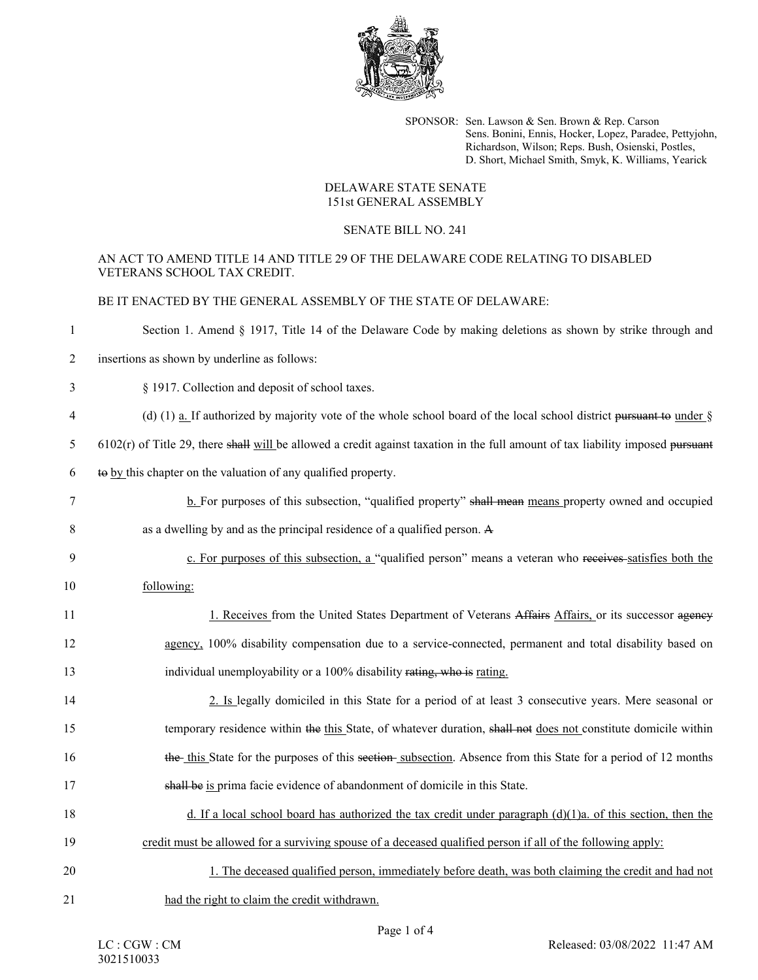

SPONSOR: Sen. Lawson & Sen. Brown & Rep. Carson Sens. Bonini, Ennis, Hocker, Lopez, Paradee, Pettyjohn, Richardson, Wilson; Reps. Bush, Osienski, Postles, D. Short, Michael Smith, Smyk, K. Williams, Yearick

## DELAWARE STATE SENATE 151st GENERAL ASSEMBLY

## SENATE BILL NO. 241

## AN ACT TO AMEND TITLE 14 AND TITLE 29 OF THE DELAWARE CODE RELATING TO DISABLED VETERANS SCHOOL TAX CREDIT.

BE IT ENACTED BY THE GENERAL ASSEMBLY OF THE STATE OF DELAWARE:

| Section 1. Amend § 1917, Title 14 of the Delaware Code by making deletions as shown by strike through and |  |  |
|-----------------------------------------------------------------------------------------------------------|--|--|
|-----------------------------------------------------------------------------------------------------------|--|--|

- 2 insertions as shown by underline as follows:
- 3 § 1917. Collection and deposit of school taxes.
- 4 (d) (1) a. If authorized by majority vote of the whole school board of the local school district <del>pursuant to</del> under  $\hat{\S}$
- $5$  6102(r) of Title 29, there shall will be allowed a credit against taxation in the full amount of tax liability imposed pursuant
- 6 to by this chapter on the valuation of any qualified property.
- 7 b. For purposes of this subsection, "qualified property" shall mean means property owned and occupied
- 8 as a dwelling by and as the principal residence of a qualified person. A
- 9 c. For purposes of this subsection, a "qualified person" means a veteran who receives satisfies both the 10 following:
- 1. Receives from the United States Department of Veterans Affairs Affairs, or its successor agency 12 agency, 100% disability compensation due to a service-connected, permanent and total disability based on 13 individual unemployability or a 100% disability rating, who is rating.
- 14 2. Is legally domiciled in this State for a period of at least 3 consecutive years. Mere seasonal or 15 temporary residence within the this State, of whatever duration, shall not does not constitute domicile within 16 the this State for the purposes of this section subsection. Absence from this State for a period of 12 months 17 shall be is prima facie evidence of abandonment of domicile in this State.
- 18 d. If a local school board has authorized the tax credit under paragraph (d)(1)a. of this section, then the 19 credit must be allowed for a surviving spouse of a deceased qualified person if all of the following apply:
- 20 1. The deceased qualified person, immediately before death, was both claiming the credit and had not 21 had the right to claim the credit withdrawn.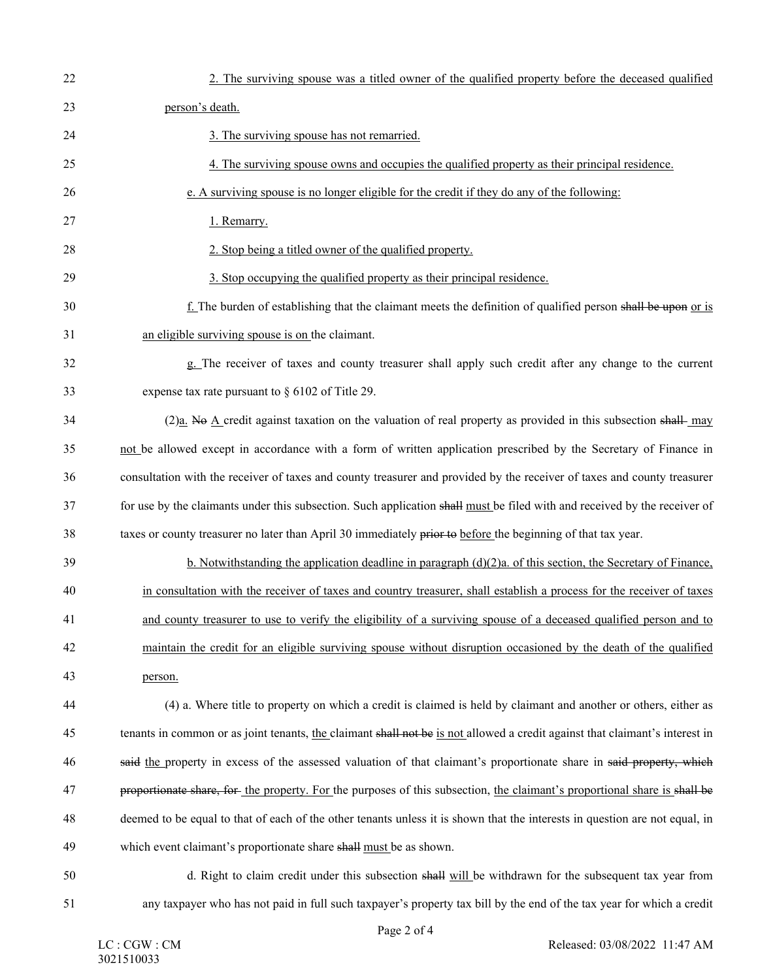| 22 | 2. The surviving spouse was a titled owner of the qualified property before the deceased qualified                           |
|----|------------------------------------------------------------------------------------------------------------------------------|
| 23 | person's death.                                                                                                              |
| 24 | 3. The surviving spouse has not remarried.                                                                                   |
| 25 | 4. The surviving spouse owns and occupies the qualified property as their principal residence.                               |
| 26 | e. A surviving spouse is no longer eligible for the credit if they do any of the following:                                  |
| 27 | 1. Remarry.                                                                                                                  |
| 28 | 2. Stop being a titled owner of the qualified property.                                                                      |
| 29 | 3. Stop occupying the qualified property as their principal residence.                                                       |
| 30 | f. The burden of establishing that the claimant meets the definition of qualified person shall be upon or is                 |
| 31 | an eligible surviving spouse is on the claimant.                                                                             |
| 32 | g. The receiver of taxes and county treasurer shall apply such credit after any change to the current                        |
| 33 | expense tax rate pursuant to $\S$ 6102 of Title 29.                                                                          |
| 34 | (2)a. No A credit against taxation on the valuation of real property as provided in this subsection shall-may                |
| 35 | not be allowed except in accordance with a form of written application prescribed by the Secretary of Finance in             |
| 36 | consultation with the receiver of taxes and county treasurer and provided by the receiver of taxes and county treasurer      |
| 37 | for use by the claimants under this subsection. Such application shall must be filed with and received by the receiver of    |
| 38 | taxes or county treasurer no later than April 30 immediately prior to before the beginning of that tax year.                 |
| 39 | b. Notwithstanding the application deadline in paragraph $(d)(2)a$ . of this section, the Secretary of Finance,              |
| 40 | in consultation with the receiver of taxes and country treasurer, shall establish a process for the receiver of taxes        |
| 41 | and county treasurer to use to verify the eligibility of a surviving spouse of a deceased qualified person and to            |
| 42 | maintain the credit for an eligible surviving spouse without disruption occasioned by the death of the qualified             |
| 43 | person.                                                                                                                      |
| 44 | (4) a. Where title to property on which a credit is claimed is held by claimant and another or others, either as             |
| 45 | tenants in common or as joint tenants, the claimant shall not be is not allowed a credit against that claimant's interest in |
| 46 | said the property in excess of the assessed valuation of that claimant's proportionate share in said-property, which         |
| 47 | proportionate share, for the property. For the purposes of this subsection, the claimant's proportional share is shall be    |
| 48 | deemed to be equal to that of each of the other tenants unless it is shown that the interests in question are not equal, in  |
| 49 | which event claimant's proportionate share shall must be as shown.                                                           |
| 50 | d. Right to claim credit under this subsection shall will be withdrawn for the subsequent tax year from                      |
| 51 | any taxpayer who has not paid in full such taxpayer's property tax bill by the end of the tax year for which a credit        |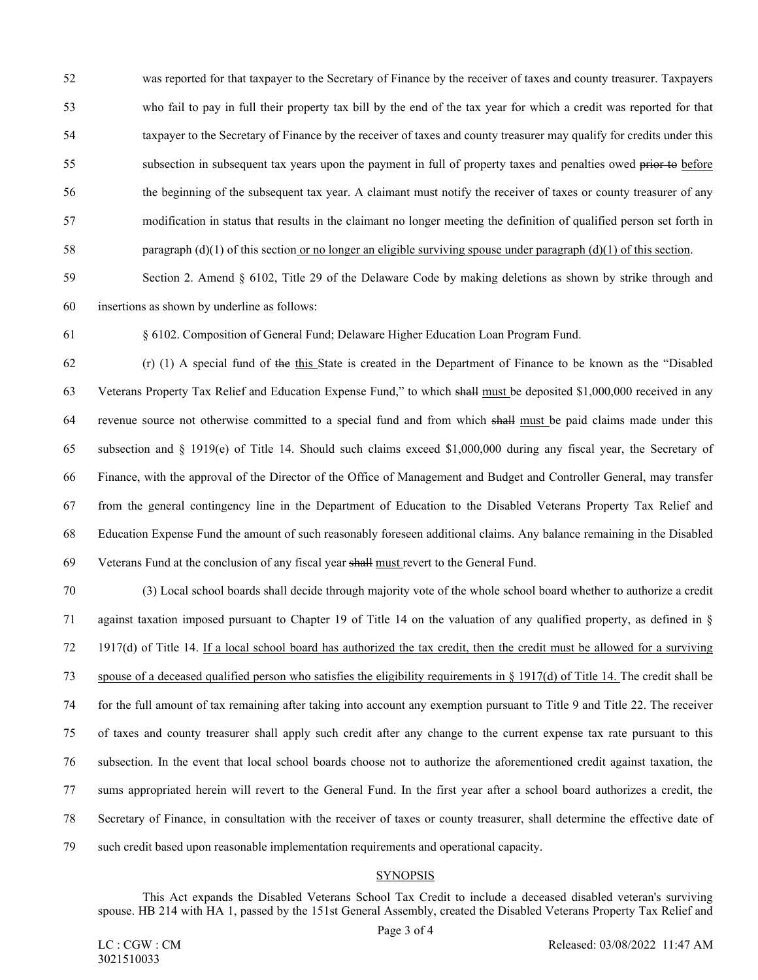52 was reported for that taxpayer to the Secretary of Finance by the receiver of taxes and county treasurer. Taxpayers 53 who fail to pay in full their property tax bill by the end of the tax year for which a credit was reported for that 54 taxpayer to the Secretary of Finance by the receiver of taxes and county treasurer may qualify for credits under this 55 subsection in subsequent tax years upon the payment in full of property taxes and penalties owed prior to before 56 the beginning of the subsequent tax year. A claimant must notify the receiver of taxes or county treasurer of any 57 modification in status that results in the claimant no longer meeting the definition of qualified person set forth in 58 paragraph (d)(1) of this section or no longer an eligible surviving spouse under paragraph (d)(1) of this section.

59 Section 2. Amend § 6102, Title 29 of the Delaware Code by making deletions as shown by strike through and 60 insertions as shown by underline as follows:

61 § 6102. Composition of General Fund; Delaware Higher Education Loan Program Fund.

62 (r) (1) A special fund of the this State is created in the Department of Finance to be known as the "Disabled 63 Veterans Property Tax Relief and Education Expense Fund," to which shall must be deposited \$1,000,000 received in any 64 revenue source not otherwise committed to a special fund and from which shall must be paid claims made under this 65 subsection and § 1919(e) of Title 14. Should such claims exceed \$1,000,000 during any fiscal year, the Secretary of 66 Finance, with the approval of the Director of the Office of Management and Budget and Controller General, may transfer 67 from the general contingency line in the Department of Education to the Disabled Veterans Property Tax Relief and 68 Education Expense Fund the amount of such reasonably foreseen additional claims. Any balance remaining in the Disabled 69 Veterans Fund at the conclusion of any fiscal year shall must revert to the General Fund.

70 (3) Local school boards shall decide through majority vote of the whole school board whether to authorize a credit 71 against taxation imposed pursuant to Chapter 19 of Title 14 on the valuation of any qualified property, as defined in § 72 1917(d) of Title 14. If a local school board has authorized the tax credit, then the credit must be allowed for a surviving 73 spouse of a deceased qualified person who satisfies the eligibility requirements in § 1917(d) of Title 14. The credit shall be 74 for the full amount of tax remaining after taking into account any exemption pursuant to Title 9 and Title 22. The receiver 75 of taxes and county treasurer shall apply such credit after any change to the current expense tax rate pursuant to this 76 subsection. In the event that local school boards choose not to authorize the aforementioned credit against taxation, the 77 sums appropriated herein will revert to the General Fund. In the first year after a school board authorizes a credit, the 78 Secretary of Finance, in consultation with the receiver of taxes or county treasurer, shall determine the effective date of 79 such credit based upon reasonable implementation requirements and operational capacity.

## **SYNOPSIS**

This Act expands the Disabled Veterans School Tax Credit to include a deceased disabled veteran's surviving spouse. HB 214 with HA 1, passed by the 151st General Assembly, created the Disabled Veterans Property Tax Relief and